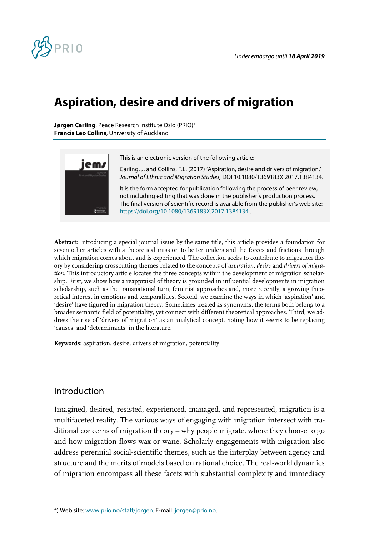

# **Aspiration, desire and drivers of migration**

**Jørgen Carling**, Peace Research Institute Oslo (PRIO)\* **Francis Leo Collins**, University of Auckland



This is an electronic version of the following article:

Carling, J. and Collins, F.L. (2017) 'Aspiration, desire and drivers of migration.' *Journal of Ethnic and Migration Studies,* DOI 10.1080/1369183X.2017.1384134.

It is the form accepted for publication following the process of peer review, not including editing that was done in the publisher's production process. The final version of scientific record is available from the publisher's web site: <https://doi.org/10.1080/1369183X.2017.1384134> .

**Abstract:** Introducing a special journal issue by the same title, this article provides a foundation for seven other articles with a theoretical mission to better understand the forces and frictions through which migration comes about and is experienced. The collection seeks to contribute to migration theory by considering crosscutting themes related to the concepts of *aspiration*, *desire* and *drivers of migration*. This introductory article locates the three concepts within the development of migration scholarship. First, we show how a reappraisal of theory is grounded in influential developments in migration scholarship, such as the transnational turn, feminist approaches and, more recently, a growing theoretical interest in emotions and temporalities. Second, we examine the ways in which 'aspiration' and 'desire' have figured in migration theory. Sometimes treated as synonyms, the terms both belong to a broader semantic field of potentiality, yet connect with different theoretical approaches. Third, we address the rise of 'drivers of migration' as an analytical concept, noting how it seems to be replacing 'causes' and 'determinants' in the literature.

**Keywords**: aspiration, desire, drivers of migration, potentiality

## Introduction

Imagined, desired, resisted, experienced, managed, and represented, migration is a multifaceted reality. The various ways of engaging with migration intersect with traditional concerns of migration theory – why people migrate, where they choose to go and how migration flows wax or wane. Scholarly engagements with migration also address perennial social-scientific themes, such as the interplay between agency and structure and the merits of models based on rational choice. The real-world dynamics of migration encompass all these facets with substantial complexity and immediacy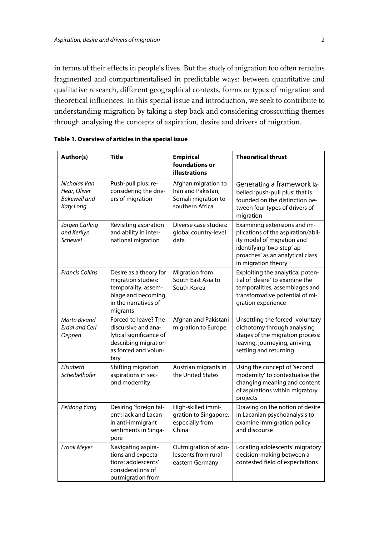in terms of their effects in people's lives. But the study of migration too often remains fragmented and compartmentalised in predictable ways: between quantitative and qualitative research, different geographical contexts, forms or types of migration and theoretical influences. In this special issue and introduction, we seek to contribute to understanding migration by taking a step back and considering crosscutting themes through analysing the concepts of aspiration, desire and drivers of migration.

| Author(s)                                                        | <b>Title</b>                                                                                                                   | <b>Empirical</b><br>foundations or<br><b>illustrations</b>                          | <b>Theoretical thrust</b>                                                                                                                                                                 |
|------------------------------------------------------------------|--------------------------------------------------------------------------------------------------------------------------------|-------------------------------------------------------------------------------------|-------------------------------------------------------------------------------------------------------------------------------------------------------------------------------------------|
| Nicholas Van<br>Hear, Oliver<br><b>Bakewell</b> and<br>Katy Long | Push-pull plus: re-<br>considering the driv-<br>ers of migration                                                               | Afghan migration to<br>Iran and Pakistan;<br>Somali migration to<br>southern Africa | Generating a framework la-<br>belled 'push-pull plus' that is<br>founded on the distinction be-<br>tween four types of drivers of<br>migration                                            |
| Jørgen Carling<br>and Kerilyn<br><b>Schewel</b>                  | Revisiting aspiration<br>and ability in inter-<br>national migration                                                           | Diverse case studies:<br>global country-level<br>data                               | Examining extensions and im-<br>plications of the aspiration/abil-<br>ity model of migration and<br>identifying 'two-step' ap-<br>proaches' as an analytical class<br>in migration theory |
| <b>Francis Collins</b>                                           | Desire as a theory for<br>migration studies:<br>temporality, assem-<br>blage and becoming<br>in the narratives of<br>migrants  | Migration from<br>South East Asia to<br>South Korea                                 | Exploiting the analytical poten-<br>tial of 'desire' to examine the<br>temporalities, assemblages and<br>transformative potential of mi-<br>gration experience                            |
| Marta Bivand<br><b>Erdal and Ceri</b><br>Oeppen                  | Forced to leave? The<br>discursive and ana-<br>lytical significance of<br>describing migration<br>as forced and volun-<br>tary | Afghan and Pakistani<br>migration to Europe                                         | Unsettling the forced-voluntary<br>dichotomy through analysing<br>stages of the migration process:<br>leaving, journeying, arriving,<br>settling and returning                            |
| Elisabeth<br>Scheibelhofer                                       | Shifting migration<br>aspirations in sec-<br>ond modernity                                                                     | Austrian migrants in<br>the United States                                           | Using the concept of 'second<br>modernity' to contextualise the<br>changing meaning and content<br>of aspirations within migratory<br>projects                                            |
| Peidong Yang                                                     | Desiring 'foreign tal-<br>ent': lack and Lacan<br>in anti-immigrant<br>sentiments in Singa-<br>pore                            | High-skilled immi-<br>gration to Singapore,<br>especially from<br>China             | Drawing on the notion of desire<br>in Lacanian psychoanalysis to<br>examine immigration policy<br>and discourse                                                                           |
| Frank Meyer                                                      | Navigating aspira-<br>tions and expecta-<br>tions: adolescents'<br>considerations of<br>outmigration from                      | Outmigration of ado-<br>lescents from rural<br>eastern Germany                      | Locating adolescents' migratory<br>decision-making between a<br>contested field of expectations                                                                                           |

**Table 1. Overview of articles in the special issue**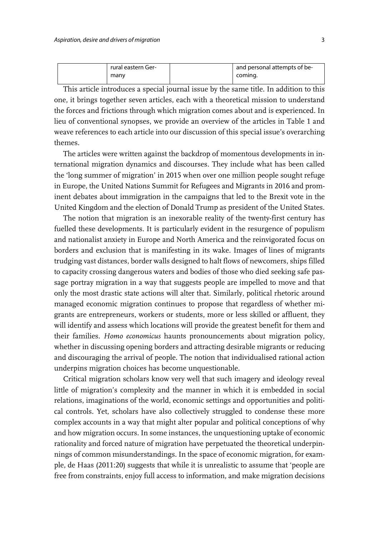|  | rural eastern Ger- | and personal attempts of be- |
|--|--------------------|------------------------------|
|  | many               | coming.                      |

This article introduces a special journal issue by the same title. In addition to this one, it brings together seven articles, each with a theoretical mission to understand the forces and frictions through which migration comes about and is experienced. In lieu of conventional synopses, we provide an overview of the articles in Table 1 and weave references to each article into our discussion of this special issue's overarching themes.

The articles were written against the backdrop of momentous developments in international migration dynamics and discourses. They include what has been called the 'long summer of migration' in 2015 when over one million people sought refuge in Europe, the United Nations Summit for Refugees and Migrants in 2016 and prominent debates about immigration in the campaigns that led to the Brexit vote in the United Kingdom and the election of Donald Trump as president of the United States.

The notion that migration is an inexorable reality of the twenty-first century has fuelled these developments. It is particularly evident in the resurgence of populism and nationalist anxiety in Europe and North America and the reinvigorated focus on borders and exclusion that is manifesting in its wake. Images of lines of migrants trudging vast distances, border walls designed to halt flows of newcomers, ships filled to capacity crossing dangerous waters and bodies of those who died seeking safe passage portray migration in a way that suggests people are impelled to move and that only the most drastic state actions will alter that. Similarly, political rhetoric around managed economic migration continues to propose that regardless of whether migrants are entrepreneurs, workers or students, more or less skilled or affluent, they will identify and assess which locations will provide the greatest benefit for them and their families. *Homo economicus* haunts pronouncements about migration policy, whether in discussing opening borders and attracting desirable migrants or reducing and discouraging the arrival of people. The notion that individualised rational action underpins migration choices has become unquestionable.

Critical migration scholars know very well that such imagery and ideology reveal little of migration's complexity and the manner in which it is embedded in social relations, imaginations of the world, economic settings and opportunities and political controls. Yet, scholars have also collectively struggled to condense these more complex accounts in a way that might alter popular and political conceptions of why and how migration occurs. In some instances, the unquestioning uptake of economic rationality and forced nature of migration have perpetuated the theoretical underpinnings of common misunderstandings. In the space of economic migration, for example, de Haas (2011:20) suggests that while it is unrealistic to assume that 'people are free from constraints, enjoy full access to information, and make migration decisions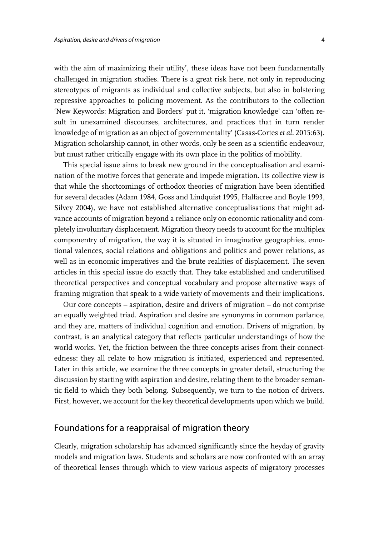with the aim of maximizing their utility', these ideas have not been fundamentally challenged in migration studies. There is a great risk here, not only in reproducing stereotypes of migrants as individual and collective subjects, but also in bolstering repressive approaches to policing movement. As the contributors to the collection 'New Keywords: Migration and Borders' put it, 'migration knowledge' can 'often result in unexamined discourses, architectures, and practices that in turn render knowledge of migration as an object of governmentality' (Casas-Cortes *et al.* 2015:63). Migration scholarship cannot, in other words, only be seen as a scientific endeavour, but must rather critically engage with its own place in the politics of mobility.

This special issue aims to break new ground in the conceptualisation and examination of the motive forces that generate and impede migration. Its collective view is that while the shortcomings of orthodox theories of migration have been identified for several decades (Adam 1984, Goss and Lindquist 1995, Halfacree and Boyle 1993, Silvey 2004), we have not established alternative conceptualisations that might advance accounts of migration beyond a reliance only on economic rationality and completely involuntary displacement. Migration theory needs to account for the multiplex componentry of migration, the way it is situated in imaginative geographies, emotional valences, social relations and obligations and politics and power relations, as well as in economic imperatives and the brute realities of displacement. The seven articles in this special issue do exactly that. They take established and underutilised theoretical perspectives and conceptual vocabulary and propose alternative ways of framing migration that speak to a wide variety of movements and their implications.

Our core concepts – aspiration, desire and drivers of migration – do not comprise an equally weighted triad. Aspiration and desire are synonyms in common parlance, and they are, matters of individual cognition and emotion. Drivers of migration, by contrast, is an analytical category that reflects particular understandings of how the world works. Yet, the friction between the three concepts arises from their connectedness: they all relate to how migration is initiated, experienced and represented. Later in this article, we examine the three concepts in greater detail, structuring the discussion by starting with aspiration and desire, relating them to the broader semantic field to which they both belong. Subsequently, we turn to the notion of drivers. First, however, we account for the key theoretical developments upon which we build.

## Foundations for a reappraisal of migration theory

Clearly, migration scholarship has advanced significantly since the heyday of gravity models and migration laws. Students and scholars are now confronted with an array of theoretical lenses through which to view various aspects of migratory processes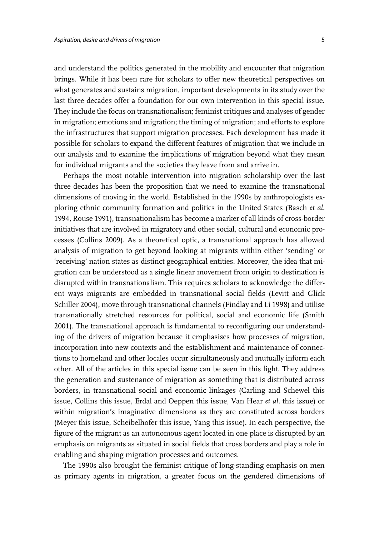and understand the politics generated in the mobility and encounter that migration brings. While it has been rare for scholars to offer new theoretical perspectives on what generates and sustains migration, important developments in its study over the last three decades offer a foundation for our own intervention in this special issue. They include the focus on transnationalism; feminist critiques and analyses of gender in migration; emotions and migration; the timing of migration; and efforts to explore the infrastructures that support migration processes. Each development has made it possible for scholars to expand the different features of migration that we include in our analysis and to examine the implications of migration beyond what they mean for individual migrants and the societies they leave from and arrive in.

Perhaps the most notable intervention into migration scholarship over the last three decades has been the proposition that we need to examine the transnational dimensions of moving in the world. Established in the 1990s by anthropologists exploring ethnic community formation and politics in the United States (Basch *et al.* 1994, Rouse 1991), transnationalism has become a marker of all kinds of cross-border initiatives that are involved in migratory and other social, cultural and economic processes (Collins 2009). As a theoretical optic, a transnational approach has allowed analysis of migration to get beyond looking at migrants within either 'sending' or 'receiving' nation states as distinct geographical entities. Moreover, the idea that migration can be understood as a single linear movement from origin to destination is disrupted within transnationalism. This requires scholars to acknowledge the different ways migrants are embedded in transnational social fields (Levitt and Glick Schiller 2004), move through transnational channels (Findlay and Li 1998) and utilise transnationally stretched resources for political, social and economic life (Smith 2001). The transnational approach is fundamental to reconfiguring our understanding of the drivers of migration because it emphasises how processes of migration, incorporation into new contexts and the establishment and maintenance of connections to homeland and other locales occur simultaneously and mutually inform each other. All of the articles in this special issue can be seen in this light. They address the generation and sustenance of migration as something that is distributed across borders, in transnational social and economic linkages (Carling and Schewel this issue, Collins this issue, Erdal and Oeppen this issue, Van Hear *et al.* this issue) or within migration's imaginative dimensions as they are constituted across borders (Meyer this issue, Scheibelhofer this issue, Yang this issue). In each perspective, the figure of the migrant as an autonomous agent located in one place is disrupted by an emphasis on migrants as situated in social fields that cross borders and play a role in enabling and shaping migration processes and outcomes.

The 1990s also brought the feminist critique of long-standing emphasis on men as primary agents in migration, a greater focus on the gendered dimensions of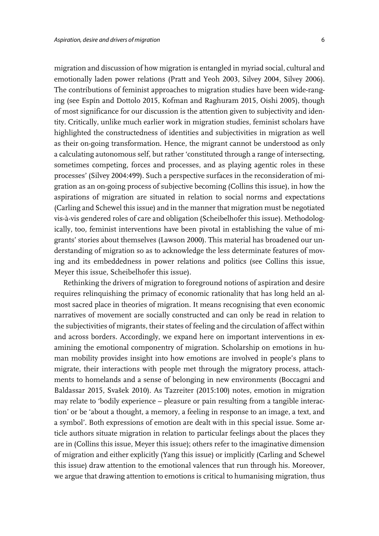migration and discussion of how migration is entangled in myriad social, cultural and emotionally laden power relations (Pratt and Yeoh 2003, Silvey 2004, Silvey 2006). The contributions of feminist approaches to migration studies have been wide-ranging (see Espín and Dottolo 2015, Kofman and Raghuram 2015, Oishi 2005), though of most significance for our discussion is the attention given to subjectivity and identity. Critically, unlike much earlier work in migration studies, feminist scholars have highlighted the constructedness of identities and subjectivities in migration as well as their on-going transformation. Hence, the migrant cannot be understood as only a calculating autonomous self, but rather 'constituted through a range of intersecting, sometimes competing, forces and processes, and as playing agentic roles in these processes' (Silvey 2004:499). Such a perspective surfaces in the reconsideration of migration as an on-going process of subjective becoming (Collins this issue), in how the aspirations of migration are situated in relation to social norms and expectations (Carling and Schewel this issue) and in the manner that migration must be negotiated vis-à-vis gendered roles of care and obligation (Scheibelhofer this issue). Methodologically, too, feminist interventions have been pivotal in establishing the value of migrants' stories about themselves (Lawson 2000). This material has broadened our understanding of migration so as to acknowledge the less determinate features of moving and its embeddedness in power relations and politics (see Collins this issue, Meyer this issue, Scheibelhofer this issue).

Rethinking the drivers of migration to foreground notions of aspiration and desire requires relinquishing the primacy of economic rationality that has long held an almost sacred place in theories of migration. It means recognising that even economic narratives of movement are socially constructed and can only be read in relation to the subjectivities of migrants, their states of feeling and the circulation of affect within and across borders. Accordingly, we expand here on important interventions in examining the emotional componentry of migration. Scholarship on emotions in human mobility provides insight into how emotions are involved in people's plans to migrate, their interactions with people met through the migratory process, attachments to homelands and a sense of belonging in new environments (Boccagni and Baldassar 2015, Svašek 2010). As Tazreiter (2015:100) notes, emotion in migration may relate to 'bodily experience – pleasure or pain resulting from a tangible interaction' or be 'about a thought, a memory, a feeling in response to an image, a text, and a symbol'. Both expressions of emotion are dealt with in this special issue. Some article authors situate migration in relation to particular feelings about the places they are in (Collins this issue, Meyer this issue); others refer to the imaginative dimension of migration and either explicitly (Yang this issue) or implicitly (Carling and Schewel this issue) draw attention to the emotional valences that run through his. Moreover, we argue that drawing attention to emotions is critical to humanising migration, thus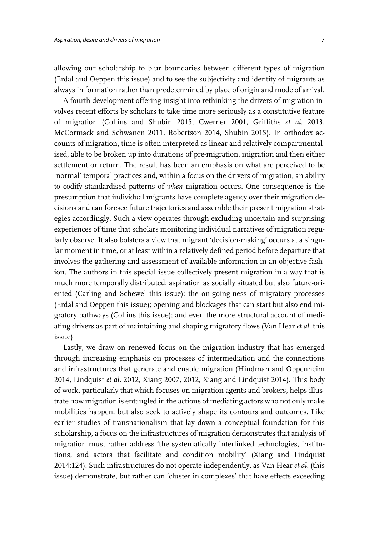allowing our scholarship to blur boundaries between different types of migration (Erdal and Oeppen this issue) and to see the subjectivity and identity of migrants as always in formation rather than predetermined by place of origin and mode of arrival.

A fourth development offering insight into rethinking the drivers of migration involves recent efforts by scholars to take time more seriously as a constitutive feature of migration (Collins and Shubin 2015, Cwerner 2001, Griffiths *et al.* 2013, McCormack and Schwanen 2011, Robertson 2014, Shubin 2015). In orthodox accounts of migration, time is often interpreted as linear and relatively compartmentalised, able to be broken up into durations of pre-migration, migration and then either settlement or return. The result has been an emphasis on what are perceived to be 'normal' temporal practices and, within a focus on the drivers of migration, an ability to codify standardised patterns of *when* migration occurs. One consequence is the presumption that individual migrants have complete agency over their migration decisions and can foresee future trajectories and assemble their present migration strategies accordingly. Such a view operates through excluding uncertain and surprising experiences of time that scholars monitoring individual narratives of migration regularly observe. It also bolsters a view that migrant 'decision-making' occurs at a singular moment in time, or at least within a relatively defined period before departure that involves the gathering and assessment of available information in an objective fashion. The authors in this special issue collectively present migration in a way that is much more temporally distributed: aspiration as socially situated but also future-oriented (Carling and Schewel this issue); the on-going-ness of migratory processes (Erdal and Oeppen this issue); opening and blockages that can start but also end migratory pathways (Collins this issue); and even the more structural account of mediating drivers as part of maintaining and shaping migratory flows (Van Hear *et al.* this issue)

Lastly, we draw on renewed focus on the migration industry that has emerged through increasing emphasis on processes of intermediation and the connections and infrastructures that generate and enable migration (Hindman and Oppenheim 2014, Lindquist *et al.* 2012, Xiang 2007, 2012, Xiang and Lindquist 2014). This body of work, particularly that which focuses on migration agents and brokers, helps illustrate how migration is entangled in the actions of mediating actors who not only make mobilities happen, but also seek to actively shape its contours and outcomes. Like earlier studies of transnationalism that lay down a conceptual foundation for this scholarship, a focus on the infrastructures of migration demonstrates that analysis of migration must rather address 'the systematically interlinked technologies, institutions, and actors that facilitate and condition mobility' (Xiang and Lindquist 2014:124). Such infrastructures do not operate independently, as Van Hear *et al.* (this issue) demonstrate, but rather can 'cluster in complexes' that have effects exceeding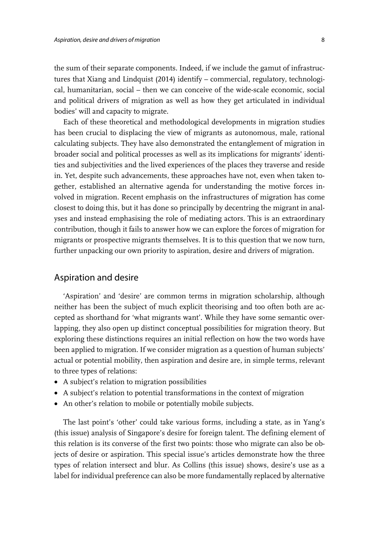the sum of their separate components. Indeed, if we include the gamut of infrastructures that Xiang and Lindquist (2014) identify – commercial, regulatory, technological, humanitarian, social – then we can conceive of the wide-scale economic, social and political drivers of migration as well as how they get articulated in individual bodies' will and capacity to migrate.

Each of these theoretical and methodological developments in migration studies has been crucial to displacing the view of migrants as autonomous, male, rational calculating subjects. They have also demonstrated the entanglement of migration in broader social and political processes as well as its implications for migrants' identities and subjectivities and the lived experiences of the places they traverse and reside in. Yet, despite such advancements, these approaches have not, even when taken together, established an alternative agenda for understanding the motive forces involved in migration. Recent emphasis on the infrastructures of migration has come closest to doing this, but it has done so principally by decentring the migrant in analyses and instead emphasising the role of mediating actors. This is an extraordinary contribution, though it fails to answer how we can explore the forces of migration for migrants or prospective migrants themselves. It is to this question that we now turn, further unpacking our own priority to aspiration, desire and drivers of migration.

## Aspiration and desire

'Aspiration' and 'desire' are common terms in migration scholarship, although neither has been the subject of much explicit theorising and too often both are accepted as shorthand for 'what migrants want'. While they have some semantic overlapping, they also open up distinct conceptual possibilities for migration theory. But exploring these distinctions requires an initial reflection on how the two words have been applied to migration. If we consider migration as a question of human subjects' actual or potential mobility, then aspiration and desire are, in simple terms, relevant to three types of relations:

- A subject's relation to migration possibilities
- A subject's relation to potential transformations in the context of migration
- An other's relation to mobile or potentially mobile subjects.

The last point's 'other' could take various forms, including a state, as in Yang's (this issue) analysis of Singapore's desire for foreign talent. The defining element of this relation is its converse of the first two points: those who migrate can also be objects of desire or aspiration. This special issue's articles demonstrate how the three types of relation intersect and blur. As Collins (this issue) shows, desire's use as a label for individual preference can also be more fundamentally replaced by alternative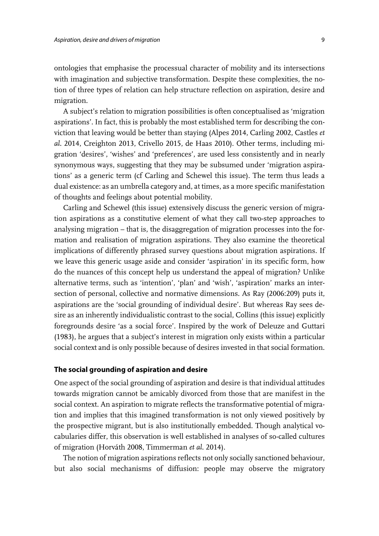ontologies that emphasise the processual character of mobility and its intersections with imagination and subjective transformation. Despite these complexities, the notion of three types of relation can help structure reflection on aspiration, desire and migration.

A subject's relation to migration possibilities is often conceptualised as 'migration aspirations'. In fact, this is probably the most established term for describing the conviction that leaving would be better than staying (Alpes 2014, Carling 2002, Castles *et al.* 2014, Creighton 2013, Crivello 2015, de Haas 2010). Other terms, including migration 'desires', 'wishes' and 'preferences', are used less consistently and in nearly synonymous ways, suggesting that they may be subsumed under 'migration aspirations' as a generic term (cf Carling and Schewel this issue). The term thus leads a dual existence: as an umbrella category and, at times, as a more specific manifestation of thoughts and feelings about potential mobility.

Carling and Schewel (this issue) extensively discuss the generic version of migration aspirations as a constitutive element of what they call two-step approaches to analysing migration – that is, the disaggregation of migration processes into the formation and realisation of migration aspirations. They also examine the theoretical implications of differently phrased survey questions about migration aspirations. If we leave this generic usage aside and consider 'aspiration' in its specific form, how do the nuances of this concept help us understand the appeal of migration? Unlike alternative terms, such as 'intention', 'plan' and 'wish', 'aspiration' marks an intersection of personal, collective and normative dimensions. As Ray (2006:209) puts it, aspirations are the 'social grounding of individual desire'. But whereas Ray sees desire as an inherently individualistic contrast to the social, Collins (this issue) explicitly foregrounds desire 'as a social force'. Inspired by the work of Deleuze and Guttari (1983), he argues that a subject's interest in migration only exists within a particular social context and is only possible because of desires invested in that social formation.

#### **The social grounding of aspiration and desire**

One aspect of the social grounding of aspiration and desire is that individual attitudes towards migration cannot be amicably divorced from those that are manifest in the social context. An aspiration to migrate reflects the transformative potential of migration and implies that this imagined transformation is not only viewed positively by the prospective migrant, but is also institutionally embedded. Though analytical vocabularies differ, this observation is well established in analyses of so-called cultures of migration (Horváth 2008, Timmerman *et al.* 2014).

The notion of migration aspirations reflects not only socially sanctioned behaviour, but also social mechanisms of diffusion: people may observe the migratory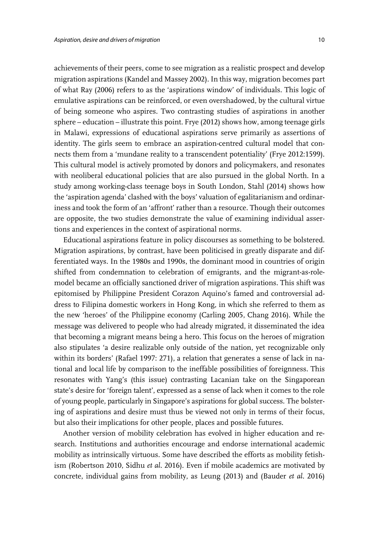achievements of their peers, come to see migration as a realistic prospect and develop migration aspirations (Kandel and Massey 2002). In this way, migration becomes part of what Ray (2006) refers to as the 'aspirations window' of individuals. This logic of emulative aspirations can be reinforced, or even overshadowed, by the cultural virtue of being someone who aspires. Two contrasting studies of aspirations in another sphere – education – illustrate this point. Frye (2012) shows how, among teenage girls in Malawi, expressions of educational aspirations serve primarily as assertions of identity. The girls seem to embrace an aspiration-centred cultural model that connects them from a 'mundane reality to a transcendent potentiality' (Frye 2012:1599). This cultural model is actively promoted by donors and policymakers, and resonates with neoliberal educational policies that are also pursued in the global North. In a study among working-class teenage boys in South London, Stahl (2014) shows how the 'aspiration agenda' clashed with the boys' valuation of egalitarianism and ordinariness and took the form of an 'affront' rather than a resource. Though their outcomes are opposite, the two studies demonstrate the value of examining individual assertions and experiences in the context of aspirational norms.

Educational aspirations feature in policy discourses as something to be bolstered. Migration aspirations, by contrast, have been politicised in greatly disparate and differentiated ways. In the 1980s and 1990s, the dominant mood in countries of origin shifted from condemnation to celebration of emigrants, and the migrant-as-rolemodel became an officially sanctioned driver of migration aspirations. This shift was epitomised by Philippine President Corazon Aquino's famed and controversial address to Filipina domestic workers in Hong Kong, in which she referred to them as the new 'heroes' of the Philippine economy (Carling 2005, Chang 2016). While the message was delivered to people who had already migrated, it disseminated the idea that becoming a migrant means being a hero. This focus on the heroes of migration also stipulates 'a desire realizable only outside of the nation, yet recognizable only within its borders' (Rafael 1997: 271), a relation that generates a sense of lack in national and local life by comparison to the ineffable possibilities of foreignness. This resonates with Yang's (this issue) contrasting Lacanian take on the Singaporean state's desire for 'foreign talent', expressed as a sense of lack when it comes to the role of young people, particularly in Singapore's aspirations for global success. The bolstering of aspirations and desire must thus be viewed not only in terms of their focus, but also their implications for other people, places and possible futures.

Another version of mobility celebration has evolved in higher education and research. Institutions and authorities encourage and endorse international academic mobility as intrinsically virtuous. Some have described the efforts as mobility fetishism (Robertson 2010, Sidhu *et al.* 2016). Even if mobile academics are motivated by concrete, individual gains from mobility, as Leung (2013) and (Bauder *et al.* 2016)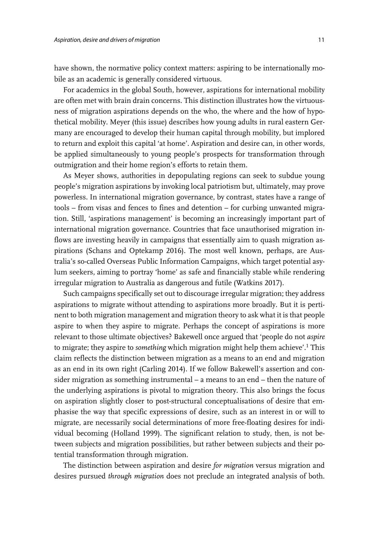have shown, the normative policy context matters: aspiring to be internationally mobile as an academic is generally considered virtuous.

For academics in the global South, however, aspirations for international mobility are often met with brain drain concerns. This distinction illustrates how the virtuousness of migration aspirations depends on the who, the where and the how of hypothetical mobility. Meyer (this issue) describes how young adults in rural eastern Germany are encouraged to develop their human capital through mobility, but implored to return and exploit this capital 'at home'. Aspiration and desire can, in other words, be applied simultaneously to young people's prospects for transformation through outmigration and their home region's efforts to retain them.

As Meyer shows, authorities in depopulating regions can seek to subdue young people's migration aspirations by invoking local patriotism but, ultimately, may prove powerless. In international migration governance, by contrast, states have a range of tools – from visas and fences to fines and detention – for curbing unwanted migration. Still, 'aspirations management' is becoming an increasingly important part of international migration governance. Countries that face unauthorised migration inflows are investing heavily in campaigns that essentially aim to quash migration aspirations (Schans and Optekamp 2016). The most well known, perhaps, are Australia's so-called Overseas Public Information Campaigns, which target potential asylum seekers, aiming to portray 'home' as safe and financially stable while rendering irregular migration to Australia as dangerous and futile (Watkins 2017).

Such campaigns specifically set out to discourage irregular migration; they address aspirations to migrate without attending to aspirations more broadly. But it is pertinent to both migration management and migration theory to ask what it is that people aspire to when they aspire to migrate. Perhaps the concept of aspirations is more relevant to those ultimate objectives? Bakewell once argued that 'people do not *aspire* to migrate; they aspire to *something* which migration might help them achieve'. <sup>1</sup> This claim reflects the distinction between migration as a means to an end and migration as an end in its own right (Carling 2014). If we follow Bakewell's assertion and consider migration as something instrumental – a means to an end – then the nature of the underlying aspirations is pivotal to migration theory. This also brings the focus on aspiration slightly closer to post-structural conceptualisations of desire that emphasise the way that specific expressions of desire, such as an interest in or will to migrate, are necessarily social determinations of more free-floating desires for individual becoming (Holland 1999). The significant relation to study, then, is not between subjects and migration possibilities, but rather between subjects and their potential transformation through migration.

The distinction between aspiration and desire *for migration* versus migration and desires pursued *through migration* does not preclude an integrated analysis of both.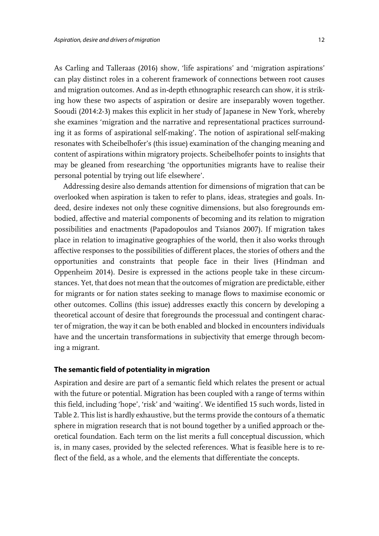As Carling and Talleraas (2016) show, 'life aspirations' and 'migration aspirations' can play distinct roles in a coherent framework of connections between root causes and migration outcomes. And as in-depth ethnographic research can show, it is striking how these two aspects of aspiration or desire are inseparably woven together. Sooudi (2014:2-3) makes this explicit in her study of Japanese in New York, whereby she examines 'migration and the narrative and representational practices surrounding it as forms of aspirational self-making'. The notion of aspirational self-making resonates with Scheibelhofer's (this issue) examination of the changing meaning and content of aspirations within migratory projects. Scheibelhofer points to insights that may be gleaned from researching 'the opportunities migrants have to realise their personal potential by trying out life elsewhere'.

Addressing desire also demands attention for dimensions of migration that can be overlooked when aspiration is taken to refer to plans, ideas, strategies and goals. Indeed, desire indexes not only these cognitive dimensions, but also foregrounds embodied, affective and material components of becoming and its relation to migration possibilities and enactments (Papadopoulos and Tsianos 2007). If migration takes place in relation to imaginative geographies of the world, then it also works through affective responses to the possibilities of different places, the stories of others and the opportunities and constraints that people face in their lives (Hindman and Oppenheim 2014). Desire is expressed in the actions people take in these circumstances. Yet, that does not mean that the outcomes of migration are predictable, either for migrants or for nation states seeking to manage flows to maximise economic or other outcomes. Collins (this issue) addresses exactly this concern by developing a theoretical account of desire that foregrounds the processual and contingent character of migration, the way it can be both enabled and blocked in encounters individuals have and the uncertain transformations in subjectivity that emerge through becoming a migrant.

#### **The semantic field of potentiality in migration**

Aspiration and desire are part of a semantic field which relates the present or actual with the future or potential. Migration has been coupled with a range of terms within this field, including 'hope', 'risk' and 'waiting'. We identified 15 such words, listed in Table 2. This list is hardly exhaustive, but the terms provide the contours of a thematic sphere in migration research that is not bound together by a unified approach or theoretical foundation. Each term on the list merits a full conceptual discussion, which is, in many cases, provided by the selected references. What is feasible here is to reflect of the field, as a whole, and the elements that differentiate the concepts.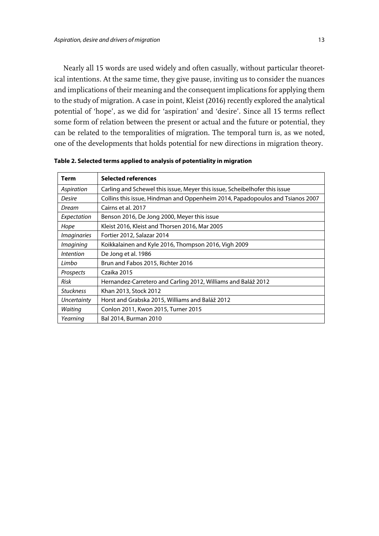Nearly all 15 words are used widely and often casually, without particular theoretical intentions. At the same time, they give pause, inviting us to consider the nuances and implications of their meaning and the consequent implications for applying them to the study of migration. A case in point, Kleist (2016) recently explored the analytical potential of 'hope', as we did for 'aspiration' and 'desire'. Since all 15 terms reflect some form of relation between the present or actual and the future or potential, they can be related to the temporalities of migration. The temporal turn is, as we noted, one of the developments that holds potential for new directions in migration theory.

| Term               | <b>Selected references</b>                                                                                                                         |  |  |
|--------------------|----------------------------------------------------------------------------------------------------------------------------------------------------|--|--|
| Aspiration         | Carling and Schewel this issue, Meyer this issue, Scheibelhofer this issue                                                                         |  |  |
| Desire             | Collins this issue, Hindman and Oppenheim 2014, Papadopoulos and Tsianos 2007<br>Cairns et al. 2017<br>Benson 2016, De Jong 2000, Meyer this issue |  |  |
| Dream              |                                                                                                                                                    |  |  |
| Expectation        |                                                                                                                                                    |  |  |
| Hope               | Kleist 2016, Kleist and Thorsen 2016, Mar 2005                                                                                                     |  |  |
| <i>Imaginaries</i> | Fortier 2012, Salazar 2014                                                                                                                         |  |  |
| <i>Imagining</i>   | Koikkalainen and Kyle 2016, Thompson 2016, Vigh 2009                                                                                               |  |  |
| <i>Intention</i>   | De Jong et al. 1986                                                                                                                                |  |  |
| Limbo              | Brun and Fabos 2015, Richter 2016                                                                                                                  |  |  |
| Prospects          | Czaika 2015                                                                                                                                        |  |  |
| Risk               | Hernandez-Carretero and Carling 2012, Williams and Baláž 2012                                                                                      |  |  |
| <b>Stuckness</b>   | Khan 2013, Stock 2012                                                                                                                              |  |  |
| <b>Uncertainty</b> | Horst and Grabska 2015, Williams and Baláž 2012                                                                                                    |  |  |
| Waiting            | Conlon 2011, Kwon 2015, Turner 2015                                                                                                                |  |  |
| Yearning           | Bal 2014, Burman 2010                                                                                                                              |  |  |

**Table 2. Selected terms applied to analysis of potentiality in migration**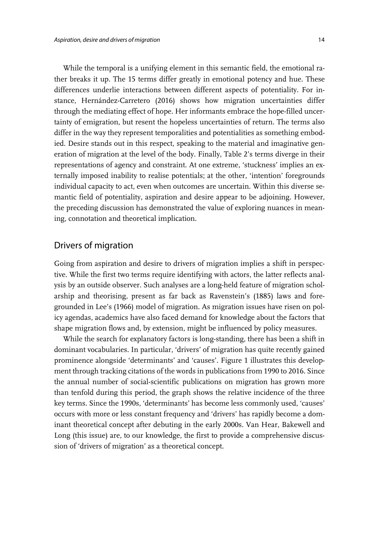While the temporal is a unifying element in this semantic field, the emotional rather breaks it up. The 15 terms differ greatly in emotional potency and hue. These differences underlie interactions between different aspects of potentiality. For instance, Hernández-Carretero (2016) shows how migration uncertainties differ through the mediating effect of hope. Her informants embrace the hope-filled uncertainty of emigration, but resent the hopeless uncertainties of return. The terms also differ in the way they represent temporalities and potentialities as something embodied. Desire stands out in this respect, speaking to the material and imaginative generation of migration at the level of the body. Finally, Table 2's terms diverge in their representations of agency and constraint. At one extreme, 'stuckness' implies an externally imposed inability to realise potentials; at the other, 'intention' foregrounds individual capacity to act, even when outcomes are uncertain. Within this diverse semantic field of potentiality, aspiration and desire appear to be adjoining. However, the preceding discussion has demonstrated the value of exploring nuances in meaning, connotation and theoretical implication.

## Drivers of migration

Going from aspiration and desire to drivers of migration implies a shift in perspective. While the first two terms require identifying with actors, the latter reflects analysis by an outside observer. Such analyses are a long-held feature of migration scholarship and theorising, present as far back as Ravenstein's (1885) laws and foregrounded in Lee's (1966) model of migration. As migration issues have risen on policy agendas, academics have also faced demand for knowledge about the factors that shape migration flows and, by extension, might be influenced by policy measures.

While the search for explanatory factors is long-standing, there has been a shift in dominant vocabularies. In particular, 'drivers' of migration has quite recently gained prominence alongside 'determinants' and 'causes'. Figure 1 illustrates this development through tracking citations of the words in publications from 1990 to 2016. Since the annual number of social-scientific publications on migration has grown more than tenfold during this period, the graph shows the relative incidence of the three key terms. Since the 1990s, 'determinants' has become less commonly used, 'causes' occurs with more or less constant frequency and 'drivers' has rapidly become a dominant theoretical concept after debuting in the early 2000s. Van Hear, Bakewell and Long (this issue) are, to our knowledge, the first to provide a comprehensive discussion of 'drivers of migration' as a theoretical concept.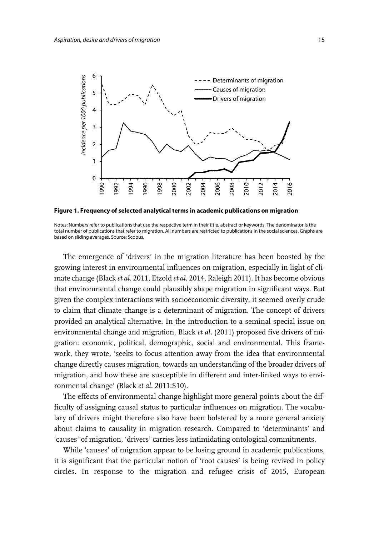

**Figure 1. Frequency of selected analytical terms in academic publications on migration**

The emergence of 'drivers' in the migration literature has been boosted by the growing interest in environmental influences on migration, especially in light of climate change (Black *et al.* 2011, Etzold *et al.* 2014, Raleigh 2011). It has become obvious that environmental change could plausibly shape migration in significant ways. But given the complex interactions with socioeconomic diversity, it seemed overly crude to claim that climate change is a determinant of migration. The concept of drivers provided an analytical alternative. In the introduction to a seminal special issue on environmental change and migration, Black *et al.* (2011) proposed five drivers of migration: economic, political, demographic, social and environmental. This framework, they wrote, 'seeks to focus attention away from the idea that environmental change directly causes migration, towards an understanding of the broader drivers of migration, and how these are susceptible in different and inter-linked ways to environmental change' (Black *et al.* 2011:S10).

The effects of environmental change highlight more general points about the difficulty of assigning causal status to particular influences on migration. The vocabulary of drivers might therefore also have been bolstered by a more general anxiety about claims to causality in migration research. Compared to 'determinants' and 'causes' of migration, 'drivers' carries less intimidating ontological commitments.

While 'causes' of migration appear to be losing ground in academic publications, it is significant that the particular notion of 'root causes' is being revived in policy circles. In response to the migration and refugee crisis of 2015, European

Notes: Numbers refer to publications that use the respective term in their title, abstract or keywords. The denominator is the total number of publications that refer to migration. All numbers are restricted to publications in the social sciences. Graphs are based on sliding averages. Source: Scopus.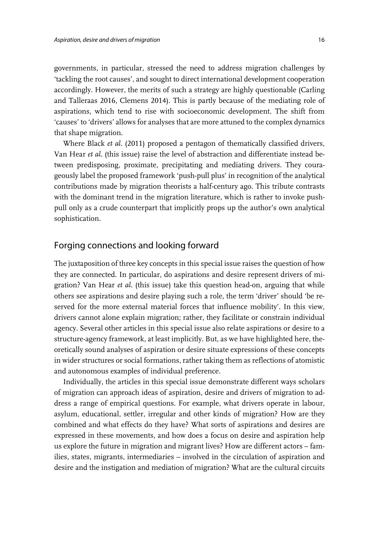governments, in particular, stressed the need to address migration challenges by 'tackling the root causes', and sought to direct international development cooperation accordingly. However, the merits of such a strategy are highly questionable (Carling and Talleraas 2016, Clemens 2014). This is partly because of the mediating role of aspirations, which tend to rise with socioeconomic development. The shift from 'causes' to 'drivers' allows for analyses that are more attuned to the complex dynamics that shape migration.

Where Black *et al.* (2011) proposed a pentagon of thematically classified drivers, Van Hear *et al.* (this issue) raise the level of abstraction and differentiate instead between predisposing, proximate, precipitating and mediating drivers. They courageously label the proposed framework 'push-pull plus' in recognition of the analytical contributions made by migration theorists a half-century ago. This tribute contrasts with the dominant trend in the migration literature, which is rather to invoke pushpull only as a crude counterpart that implicitly props up the author's own analytical sophistication.

## Forging connections and looking forward

The juxtaposition of three key concepts in this special issue raises the question of how they are connected. In particular, do aspirations and desire represent drivers of migration? Van Hear *et al.* (this issue) take this question head-on, arguing that while others see aspirations and desire playing such a role, the term 'driver' should 'be reserved for the more external material forces that influence mobility'. In this view, drivers cannot alone explain migration; rather, they facilitate or constrain individual agency. Several other articles in this special issue also relate aspirations or desire to a structure-agency framework, at least implicitly. But, as we have highlighted here, theoretically sound analyses of aspiration or desire situate expressions of these concepts in wider structures or social formations, rather taking them as reflections of atomistic and autonomous examples of individual preference.

Individually, the articles in this special issue demonstrate different ways scholars of migration can approach ideas of aspiration, desire and drivers of migration to address a range of empirical questions. For example, what drivers operate in labour, asylum, educational, settler, irregular and other kinds of migration? How are they combined and what effects do they have? What sorts of aspirations and desires are expressed in these movements, and how does a focus on desire and aspiration help us explore the future in migration and migrant lives? How are different actors – families, states, migrants, intermediaries – involved in the circulation of aspiration and desire and the instigation and mediation of migration? What are the cultural circuits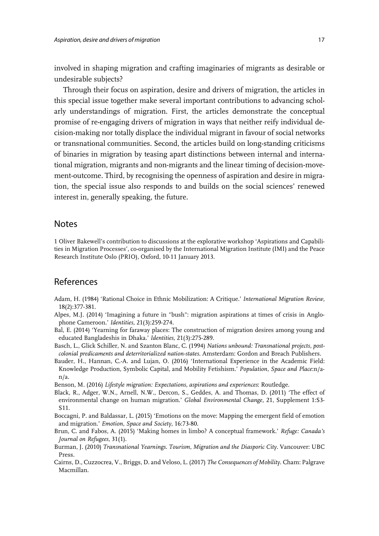involved in shaping migration and crafting imaginaries of migrants as desirable or undesirable subjects?

Through their focus on aspiration, desire and drivers of migration, the articles in this special issue together make several important contributions to advancing scholarly understandings of migration. First, the articles demonstrate the conceptual promise of re-engaging drivers of migration in ways that neither reify individual decision-making nor totally displace the individual migrant in favour of social networks or transnational communities. Second, the articles build on long-standing criticisms of binaries in migration by teasing apart distinctions between internal and international migration, migrants and non-migrants and the linear timing of decision-movement-outcome. Third, by recognising the openness of aspiration and desire in migration, the special issue also responds to and builds on the social sciences' renewed interest in, generally speaking, the future.

### Notes

1 Oliver Bakewell's contribution to discussions at the explorative workshop 'Aspirations and Capabilities in Migration Processes', co-organised by the International Migration Institute (IMI) and the Peace Research Institute Oslo (PRIO), Oxford, 10-11 January 2013.

## References

- Adam, H. (1984) 'Rational Choice in Ethnic Mobilization: A Critique.' *International Migration Review,* 18(2):377-381.
- Alpes, M.J. (2014) 'Imagining a future in "bush": migration aspirations at times of crisis in Anglophone Cameroon.' *Identities,* 21(3):259-274.
- Bal, E. (2014) 'Yearning for faraway places: The construction of migration desires among young and educated Bangladeshis in Dhaka.' *Identities,* 21(3):275-289.
- Basch, L., Glick Schiller, N. and Szanton Blanc, C. (1994) *Nations unbound: Transnational projects, postcolonial predicaments and deterritorialized nation-states*. Amsterdam: Gordon and Breach Publishers.
- Bauder, H., Hannan, C.-A. and Lujan, O. (2016) 'International Experience in the Academic Field: Knowledge Production, Symbolic Capital, and Mobility Fetishism.' *Population, Space and Place*:n/an/a.
- Benson, M. (2016) *Lifestyle migration: Expectations, aspirations and experiences*: Routledge.
- Black, R., Adger, W.N., Arnell, N.W., Dercon, S., Geddes, A. and Thomas, D. (2011) 'The effect of environmental change on human migration.' *Global Environmental Change,* 21, Supplement 1:S3- S11.
- Boccagni, P. and Baldassar, L. (2015) 'Emotions on the move: Mapping the emergent field of emotion and migration.' *Emotion, Space and Society,* 16:73-80.
- Brun, C. and Fabos, A. (2015) 'Making homes in limbo? A conceptual framework.' *Refuge: Canada's Journal on Refugees,* 31(1).
- Burman, J. (2010) *Transnational Yearnings. Tourism, Migration and the Diasporic City*. Vancouver: UBC Press.
- Cairns, D., Cuzzocrea, V., Briggs, D. and Veloso, L. (2017) *The Consequences of Mobility*. Cham: Palgrave Macmillan.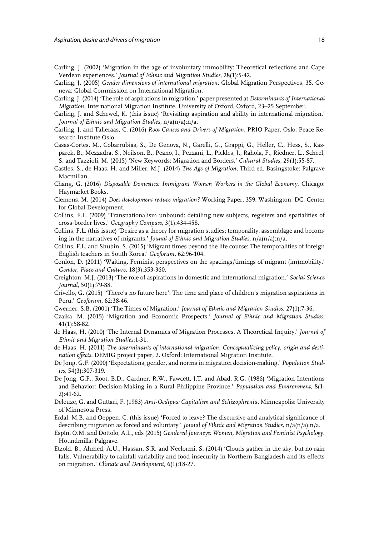- Carling, J. (2002) 'Migration in the age of involuntary immobility: Theoretical reflections and Cape Verdean experiences.' *Journal of Ethnic and Migration Studies,* 28(1):5-42.
- Carling, J. (2005) *Gender dimensions of international migration*. Global Migration Perspectives, 35. Geneva: Global Commission on International Migration.
- Carling, J. (2014) 'The role of aspirations in migration.' paper presented at *Determinants of International Migration*, International Migration Institute, University of Oxford, Oxford, 23–25 September.
- Carling, J. and Schewel, K. (this issue) 'Revisiting aspiration and ability in international migration.' *Journal of Ethnic and Migration Studies,* n/a(n/a):n/a.
- Carling, J. and Talleraas, C. (2016) *Root Causes and Drivers of Migration*. PRIO Paper. Oslo: Peace Research Institute Oslo.
- Casas-Cortes, M., Cobarrubias, S., De Genova, N., Garelli, G., Grappi, G., Heller, C., Hess, S., Kasparek, B., Mezzadra, S., Neilson, B., Peano, I., Pezzani, L., Pickles, J., Rahola, F., Riedner, L., Scheel, S. and Tazzioli, M. (2015) 'New Keywords: Migration and Borders.' *Cultural Studies,* 29(1):55-87.
- Castles, S., de Haas, H. and Miller, M.J. (2014) *The Age of Migration*, Third ed. Basingstoke: Palgrave Macmillan.
- Chang, G. (2016) *Disposable Domestics: Immigrant Women Workers in the Global Economy*. Chicago: Haymarket Books.
- Clemens, M. (2014) *Does development reduce migration?* Working Paper, 359. Washington, DC: Center for Global Development.
- Collins, F.L. (2009) 'Transnationalism unbound: detailing new subjects, registers and spatialities of cross‐border lives.' *Geography Compass,* 3(1):434-458.
- Collins, F.L. (this issue) 'Desire as a theory for migration studies: temporality, assemblage and becoming in the narratives of migrants.' *Jounal of Ethnic and Migration Studies,* n/a(n/a):n/a.
- Collins, F.L. and Shubin, S. (2015) 'Migrant times beyond the life course: The temporalities of foreign English teachers in South Korea.' *Geoforum,* 62:96-104.
- Conlon, D. (2011) 'Waiting. Feminist perspectives on the spacings/timings of migrant (im)mobility.' *Gender, Place and Culture,* 18(3):353-360.
- Creighton, M.J. (2013) 'The role of aspirations in domestic and international migration.' *Social Science Journal,* 50(1):79-88.
- Crivello, G. (2015) ''There's no future here': The time and place of children's migration aspirations in Peru.' *Geoforum,* 62:38-46.
- Cwerner, S.B. (2001) 'The Times of Migration.' *Journal of Ethnic and Migration Studies,* 27(1):7-36.
- Czaika, M. (2015) 'Migration and Economic Prospects.' *Journal of Ethnic and Migration Studies,* 41(1):58-82.
- de Haas, H. (2010) 'The Internal Dynamics of Migration Processes. A Theoretical Inquiry.' *Journal of Ethnic and Migration Studies*:1-31.
- de Haas, H. (2011) *The determinants of international migration. Conceptualizing policy, origin and destination effects*. DEMIG project paper, 2. Oxford: International Migration Institute.
- De Jong, G.F. (2000) 'Expectations, gender, and norms in migration decision-making.' *Population Studies,* 54(3):307-319.
- De Jong, G.F., Root, B.D., Gardner, R.W., Fawcett, J.T. and Abad, R.G. (1986) 'Migration Intentions and Behavior: Decision-Making in a Rural Philippine Province.' *Population and Environment,* 8(1- 2):41-62.
- Deleuze, G. and Guttari, F. (1983) *Anti-Oedipus: Capitalism and Schizophrenia*. Minneapolis: University of Minnesota Press.
- Erdal, M.B. and Oeppen, C. (this issue) 'Forced to leave? The discursive and analytical significance of describing migration as forced and voluntary ' *Jounal of Ethnic and Migration Studies*, n/a(n/a):n/a.
- Espín, O.M. and Dottolo, A.L., eds (2015) *Gendered Journeys: Women, Migration and Feminist Psychology*. Houndmills: Palgrave.
- Etzold, B., Ahmed, A.U., Hassan, S.R. and Neelormi, S. (2014) 'Clouds gather in the sky, but no rain falls. Vulnerability to rainfall variability and food insecurity in Northern Bangladesh and its effects on migration.' *Climate and Development,* 6(1):18-27.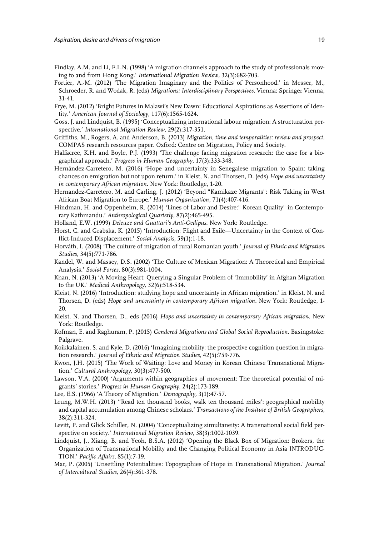- Findlay, A.M. and Li, F.L.N. (1998) 'A migration channels approach to the study of professionals moving to and from Hong Kong.' *International Migration Review,* 32(3):682-703.
- Fortier, A.-M. (2012) 'The Migration Imaginary and the Politics of Personhood.' in Messer, M., Schroeder, R. and Wodak, R. (eds) *Migrations: Interdisciplinary Perspectives*. Vienna: Springer Vienna, 31-41.
- Frye, M. (2012) 'Bright Futures in Malawi's New Dawn: Educational Aspirations as Assertions of Identity.' *American Journal of Sociology,* 117(6):1565-1624.
- Goss, J. and Lindquist, B. (1995) 'Conceptualizing international labour migration: A structuration perspective.' *International Migration Review,* 29(2):317-351.
- Griffiths, M., Rogers, A. and Anderson, B. (2013) *Migration, time and temporalities: review and prospect*. COMPAS research resources paper. Oxford: Centre on Migration, Policy and Society.
- Halfacree, K.H. and Boyle, P.J. (1993) 'The challenge facing migration research: the case for a biographical approach.' *Progress in Human Geography,* 17(3):333-348.
- Hernández-Carretero, M. (2016) 'Hope and uncertainty in Senegalese migration to Spain: taking chances on emigration but not upon return.' in Kleist, N. and Thorsen, D. (eds) *Hope and uncertainty in contemporary African migration*. New York: Routledge, 1-20.
- Hernandez-Carretero, M. and Carling, J. (2012) 'Beyond "Kamikaze Migrants": Risk Taking in West African Boat Migration to Europe.' *Human Organization,* 71(4):407-416.
- Hindman, H. and Oppenheim, R. (2014) 'Lines of Labor and Desire:" Korean Quality" in Contemporary Kathmandu.' *Anthropological Quarterly,* 87(2):465-495.
- Holland, E.W. (1999) *Deleuze and Guattari's Anti-Oedipus*. New York: Routledge.
- Horst, C. and Grabska, K. (2015) 'Introduction: Flight and Exile—Uncertainty in the Context of Conflict-Induced Displacement.' *Social Analysis,* 59(1):1-18.
- Horváth, I. (2008) 'The culture of migration of rural Romanian youth.' *Journal of Ethnic and Migration Studies,* 34(5):771-786.
- Kandel, W. and Massey, D.S. (2002) 'The Culture of Mexican Migration: A Theoretical and Empirical Analysis.' *Social Forces,* 80(3):981-1004.
- Khan, N. (2013) 'A Moving Heart: Querying a Singular Problem of 'Immobility' in Afghan Migration to the UK.' *Medical Anthropology,* 32(6):518-534.
- Kleist, N. (2016) 'Introduction: studying hope and uncertainty in African migration.' in Kleist, N. and Thorsen, D. (eds) *Hope and uncertainty in contemporary African migration*. New York: Routledge, 1- 20.
- Kleist, N. and Thorsen, D., eds (2016) *Hope and uncertainty in contemporary African migration*. New York: Routledge.

Kofman, E. and Raghuram, P. (2015) *Gendered Migrations and Global Social Reproduction*. Basingstoke: Palgrave.

- Koikkalainen, S. and Kyle, D. (2016) 'Imagining mobility: the prospective cognition question in migration research.' *Journal of Ethnic and Migration Studies,* 42(5):759-776.
- Kwon, J.H. (2015) 'The Work of Waiting: Love and Money in Korean Chinese Transnational Migration.' *Cultural Anthropology,* 30(3):477-500.
- Lawson, V.A. (2000) 'Arguments within geographies of movement: The theoretical potential of migrants' stories.' *Progress in Human Geography,* 24(2):173-189.
- Lee, E.S. (1966) 'A Theory of Migration.' *Demography,* 3(1):47-57.
- Leung, M.W.H. (2013) ''Read ten thousand books, walk ten thousand miles': geographical mobility and capital accumulation among Chinese scholars.' *Transactions of the Institute of British Geographers,* 38(2):311-324.
- Levitt, P. and Glick Schiller, N. (2004) 'Conceptualizing simultaneity: A transnational social field perspective on society.' *International Migration Review,* 38(3):1002-1039.
- Lindquist, J., Xiang, B. and Yeoh, B.S.A. (2012) 'Opening the Black Box of Migration: Brokers, the Organization of Transnational Mobility and the Changing Political Economy in Asia INTRODUC-TION.' *Pacific Affairs,* 85(1):7-19.
- Mar, P. (2005) 'Unsettling Potentialities: Topographies of Hope in Transnational Migration.' *Journal of Intercultural Studies,* 26(4):361-378.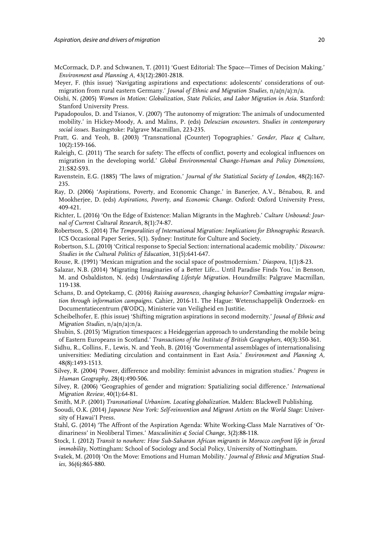- McCormack, D.P. and Schwanen, T. (2011) 'Guest Editorial: The Space—Times of Decision Making.' *Environment and Planning A,* 43(12):2801-2818.
- Meyer, F. (this issue) 'Navigating aspirations and expectations: adolescents' considerations of outmigration from rural eastern Germany.' *Jounal of Ethnic and Migration Studies,* n/a(n/a):n/a.
- Oishi, N. (2005) *Women in Motion: Globalization, State Policies, and Labor Migration in Asia*. Stanford: Stanford University Press.
- Papadopoulos, D. and Tsianos, V. (2007) 'The autonomy of migration: The animals of undocumented mobility.' in Hickey-Moody, A. and Malins, P. (eds) *Deleuzian encounters. Studies in contemporary social issues*. Basingstoke: Palgrave Macmillan, 223-235.
- Pratt, G. and Yeoh, B. (2003) 'Transnational (Counter) Topographies.' *Gender, Place & Culture,* 10(2):159-166.
- Raleigh, C. (2011) 'The search for safety: The effects of conflict, poverty and ecological influences on migration in the developing world.' *Global Environmental Change-Human and Policy Dimensions,* 21:S82-S93.
- Ravenstein, E.G. (1885) 'The laws of migration.' *Journal of the Statistical Society of London,* 48(2):167- 235.
- Ray, D. (2006) 'Aspirations, Poverty, and Economic Change.' in Banerjee, A.V., Bénabou, R. and Mookherjee, D. (eds) *Aspirations, Poverty, and Economic Change*. Oxford: Oxford University Press, 409-421.
- Richter, L. (2016) 'On the Edge of Existence: Malian Migrants in the Maghreb.' *Culture Unbound: Journal of Current Cultural Research,* 8(1):74-87.
- Robertson, S. (2014) *The Temporalities of International Migration: Implications for Ethnographic Research*. ICS Occasional Paper Series, 5(1). Sydney: Institute for Culture and Society.
- Robertson, S.L. (2010) 'Critical response to Special Section: international academic mobility.' *Discourse: Studies in the Cultural Politics of Education,* 31(5):641-647.
- Rouse, R. (1991) 'Mexican migration and the social space of postmodernism.' *Diaspora,* 1(1):8-23.
- Salazar, N.B. (2014) 'Migrating Imaginaries of a Better Life… Until Paradise Finds You.' in Benson, M. and Osbaldiston, N. (eds) *Understanding Lifestyle Migration*. Houndmills: Palgrave Macmillan, 119-138.
- Schans, D. and Optekamp, C. (2016) *Raising awareness, changing behavior? Combatting irregular migration through information campaigns*. Cahier, 2016-11. The Hague: Wetenschappelijk Onderzoek- en Documentatiecentrum (WODC), Ministerie van Veiligheid en Justitie.
- Scheibelhofer, E. (this issue) 'Shifting migration aspirations in second modernity.' *Jounal of Ethnic and Migration Studies,* n/a(n/a):n/a.
- Shubin, S. (2015) 'Migration timespaces: a Heideggerian approach to understanding the mobile being of Eastern Europeans in Scotland.' *Transactions of the Institute of British Geographers,* 40(3):350-361.
- Sidhu, R., Collins, F., Lewis, N. and Yeoh, B. (2016) 'Governmental assemblages of internationalising universities: Mediating circulation and containment in East Asia.' *Environment and Planning A,* 48(8):1493-1513.
- Silvey, R. (2004) 'Power, difference and mobility: feminist advances in migration studies.' *Progress in Human Geography,* 28(4):490-506.
- Silvey, R. (2006) 'Geographies of gender and migration: Spatializing social difference.' *International Migration Review,* 40(1):64-81.
- Smith, M.P. (2001) *Transnational Urbanism. Locating globalization*. Malden: Blackwell Publishing.
- Sooudi, O.K. (2014) *Japanese New York: Self-reinvention and Migrant Artists on the World Stage*: University of Hawai'I Press.
- Stahl, G. (2014) 'The Affront of the Aspiration Agenda: White Working-Class Male Narratives of 'Ordinariness' in Neoliberal Times.' *Masculinities & Social Change,* 3(2):88-118.
- Stock, I. (2012) *Transit to nowhere: How Sub-Saharan African migrants in Morocco confront life in forced immobility*, Nottingham: School of Sociology and Social Policy, University of Nottingham.
- Svašek, M. (2010) 'On the Move: Emotions and Human Mobility.' *Journal of Ethnic and Migration Studies,* 36(6):865-880.